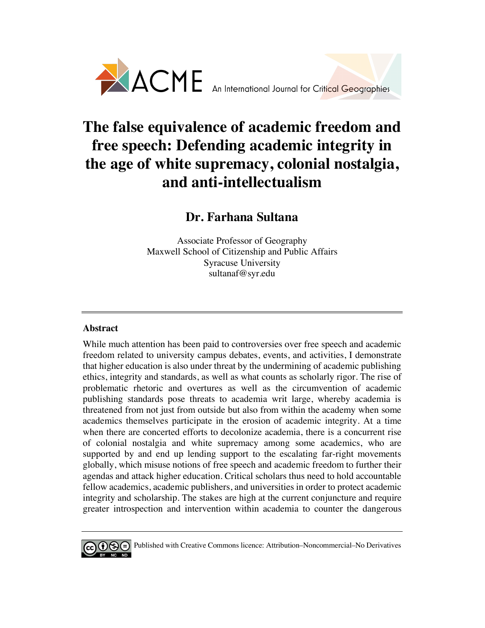

# **The false equivalence of academic freedom and free speech: Defending academic integrity in the age of white supremacy, colonial nostalgia, and anti-intellectualism**

# **Dr. Farhana Sultana**

Associate Professor of Geography Maxwell School of Citizenship and Public Affairs Syracuse University sultanaf@syr.edu

# **Abstract**

While much attention has been paid to controversies over free speech and academic freedom related to university campus debates, events, and activities, I demonstrate that higher education is also under threat by the undermining of academic publishing ethics, integrity and standards, as well as what counts as scholarly rigor. The rise of problematic rhetoric and overtures as well as the circumvention of academic publishing standards pose threats to academia writ large, whereby academia is threatened from not just from outside but also from within the academy when some academics themselves participate in the erosion of academic integrity. At a time when there are concerted efforts to decolonize academia, there is a concurrent rise of colonial nostalgia and white supremacy among some academics, who are supported by and end up lending support to the escalating far-right movements globally, which misuse notions of free speech and academic freedom to further their agendas and attack higher education. Critical scholars thus need to hold accountable fellow academics, academic publishers, and universities in order to protect academic integrity and scholarship. The stakes are high at the current conjuncture and require greater introspection and intervention within academia to counter the dangerous



 $\Theta$  Published with Creative Commons licence: Attribution–Noncommercial–No Derivatives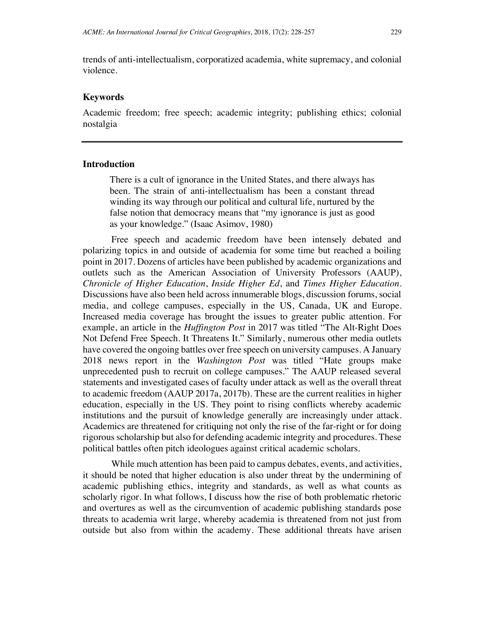trends of anti-intellectualism, corporatized academia, white supremacy, and colonial violence.

#### **Keywords**

Academic freedom; free speech; academic integrity; publishing ethics; colonial nostalgia

#### **Introduction**

There is a cult of ignorance in the United States, and there always has been. The strain of anti-intellectualism has been a constant thread winding its way through our political and cultural life, nurtured by the false notion that democracy means that "my ignorance is just as good as your knowledge." (Isaac Asimov, 1980)

Free speech and academic freedom have been intensely debated and polarizing topics in and outside of academia for some time but reached a boiling point in 2017. Dozens of articles have been published by academic organizations and outlets such as the American Association of University Professors (AAUP), *Chronicle of Higher Education*, *Inside Higher Ed*, and *Times Higher Education*. Discussions have also been held across innumerable blogs, discussion forums, social media, and college campuses, especially in the US, Canada, UK and Europe. Increased media coverage has brought the issues to greater public attention. For example, an article in the *Huffington Post* in 2017 was titled "The Alt-Right Does Not Defend Free Speech. It Threatens It." Similarly, numerous other media outlets have covered the ongoing battles over free speech on university campuses. A January 2018 news report in the *Washington Post* was titled "Hate groups make unprecedented push to recruit on college campuses." The AAUP released several statements and investigated cases of faculty under attack as well as the overall threat to academic freedom (AAUP 2017a, 2017b). These are the current realities in higher education, especially in the US. They point to rising conflicts whereby academic institutions and the pursuit of knowledge generally are increasingly under attack. Academics are threatened for critiquing not only the rise of the far-right or for doing rigorous scholarship but also for defending academic integrity and procedures. These political battles often pitch ideologues against critical academic scholars.

While much attention has been paid to campus debates, events, and activities, it should be noted that higher education is also under threat by the undermining of academic publishing ethics, integrity and standards, as well as what counts as scholarly rigor. In what follows, I discuss how the rise of both problematic rhetoric and overtures as well as the circumvention of academic publishing standards pose threats to academia writ large, whereby academia is threatened from not just from outside but also from within the academy. These additional threats have arisen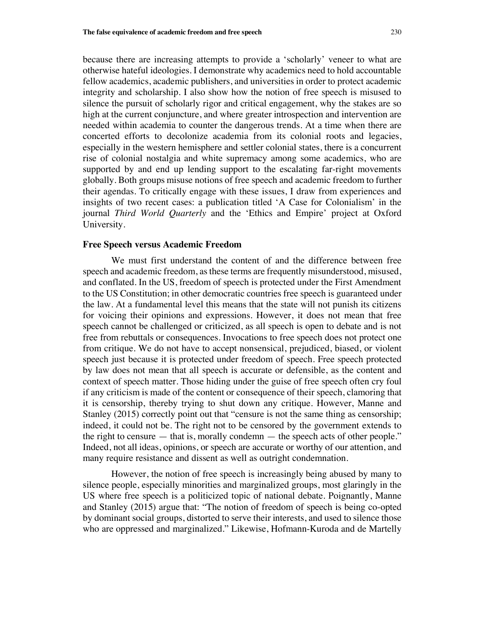because there are increasing attempts to provide a 'scholarly' veneer to what are otherwise hateful ideologies. I demonstrate why academics need to hold accountable fellow academics, academic publishers, and universities in order to protect academic integrity and scholarship. I also show how the notion of free speech is misused to silence the pursuit of scholarly rigor and critical engagement, why the stakes are so high at the current conjuncture, and where greater introspection and intervention are needed within academia to counter the dangerous trends. At a time when there are concerted efforts to decolonize academia from its colonial roots and legacies, especially in the western hemisphere and settler colonial states, there is a concurrent rise of colonial nostalgia and white supremacy among some academics, who are supported by and end up lending support to the escalating far-right movements globally. Both groups misuse notions of free speech and academic freedom to further their agendas. To critically engage with these issues, I draw from experiences and insights of two recent cases: a publication titled 'A Case for Colonialism' in the journal *Third World Quarterly* and the 'Ethics and Empire' project at Oxford University.

#### **Free Speech versus Academic Freedom**

We must first understand the content of and the difference between free speech and academic freedom, as these terms are frequently misunderstood, misused, and conflated. In the US, freedom of speech is protected under the First Amendment to the US Constitution; in other democratic countries free speech is guaranteed under the law. At a fundamental level this means that the state will not punish its citizens for voicing their opinions and expressions. However, it does not mean that free speech cannot be challenged or criticized, as all speech is open to debate and is not free from rebuttals or consequences. Invocations to free speech does not protect one from critique. We do not have to accept nonsensical, prejudiced, biased, or violent speech just because it is protected under freedom of speech. Free speech protected by law does not mean that all speech is accurate or defensible, as the content and context of speech matter. Those hiding under the guise of free speech often cry foul if any criticism is made of the content or consequence of their speech, clamoring that it is censorship, thereby trying to shut down any critique. However, Manne and Stanley (2015) correctly point out that "censure is not the same thing as censorship; indeed, it could not be. The right not to be censored by the government extends to the right to censure — that is, morally condemn — the speech acts of other people." Indeed, not all ideas, opinions, or speech are accurate or worthy of our attention, and many require resistance and dissent as well as outright condemnation.

However, the notion of free speech is increasingly being abused by many to silence people, especially minorities and marginalized groups, most glaringly in the US where free speech is a politicized topic of national debate. Poignantly, Manne and Stanley (2015) argue that: "The notion of freedom of speech is being co-opted by dominant social groups, distorted to serve their interests, and used to silence those who are oppressed and marginalized." Likewise, Hofmann-Kuroda and de Martelly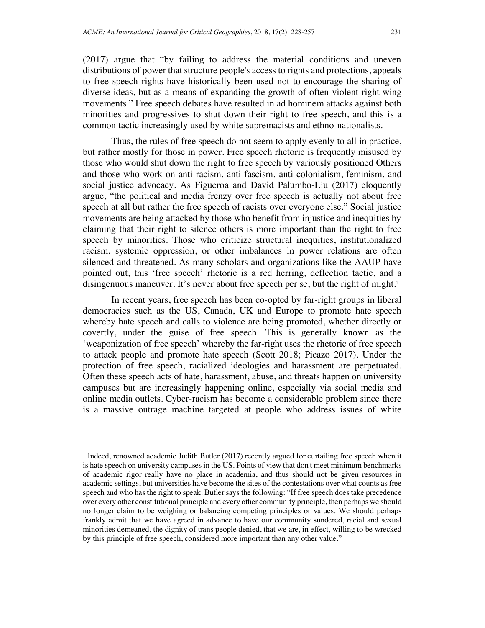(2017) argue that "by failing to address the material conditions and uneven distributions of power that structure people's access to rights and protections, appeals to free speech rights have historically been used not to encourage the sharing of diverse ideas, but as a means of expanding the growth of often violent right-wing movements." Free speech debates have resulted in ad hominem attacks against both

Thus, the rules of free speech do not seem to apply evenly to all in practice, but rather mostly for those in power. Free speech rhetoric is frequently misused by those who would shut down the right to free speech by variously positioned Others and those who work on anti-racism, anti-fascism, anti-colonialism, feminism, and social justice advocacy. As Figueroa and David Palumbo-Liu (2017) eloquently argue, "the political and media frenzy over free speech is actually not about free speech at all but rather the free speech of racists over everyone else." Social justice movements are being attacked by those who benefit from injustice and inequities by claiming that their right to silence others is more important than the right to free speech by minorities. Those who criticize structural inequities, institutionalized racism, systemic oppression, or other imbalances in power relations are often silenced and threatened. As many scholars and organizations like the AAUP have pointed out, this 'free speech' rhetoric is a red herring, deflection tactic, and a disingenuous maneuver. It's never about free speech per se, but the right of might.<sup>1</sup>

minorities and progressives to shut down their right to free speech, and this is a common tactic increasingly used by white supremacists and ethno-nationalists.

In recent years, free speech has been co-opted by far-right groups in liberal democracies such as the US, Canada, UK and Europe to promote hate speech whereby hate speech and calls to violence are being promoted, whether directly or covertly, under the guise of free speech. This is generally known as the 'weaponization of free speech' whereby the far-right uses the rhetoric of free speech to attack people and promote hate speech (Scott 2018; Picazo 2017). Under the protection of free speech, racialized ideologies and harassment are perpetuated. Often these speech acts of hate, harassment, abuse, and threats happen on university campuses but are increasingly happening online, especially via social media and online media outlets. Cyber-racism has become a considerable problem since there is a massive outrage machine targeted at people who address issues of white

<sup>1</sup> Indeed, renowned academic Judith Butler (2017) recently argued for curtailing free speech when it is hate speech on university campuses in the US. Points of view that don't meet minimum benchmarks of academic rigor really have no place in academia, and thus should not be given resources in academic settings, but universities have become the sites of the contestations over what counts as free speech and who has the right to speak. Butler says the following: "If free speech does take precedence over every other constitutional principle and every other community principle, then perhaps we should no longer claim to be weighing or balancing competing principles or values. We should perhaps frankly admit that we have agreed in advance to have our community sundered, racial and sexual minorities demeaned, the dignity of trans people denied, that we are, in effect, willing to be wrecked by this principle of free speech, considered more important than any other value."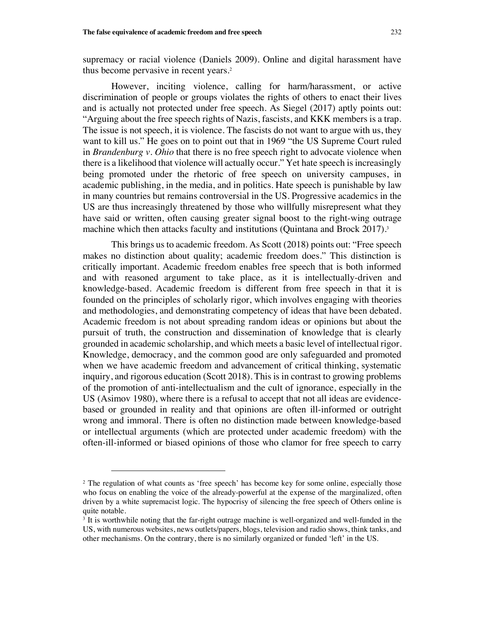supremacy or racial violence (Daniels 2009). Online and digital harassment have thus become pervasive in recent years.<sup>2</sup>

However, inciting violence, calling for harm/harassment, or active discrimination of people or groups violates the rights of others to enact their lives and is actually not protected under free speech. As Siegel (2017) aptly points out: "Arguing about the free speech rights of Nazis, fascists, and KKK members is a trap. The issue is not speech, it is violence. The fascists do not want to argue with us, they want to kill us." He goes on to point out that in 1969 "the US Supreme Court ruled in *Brandenburg v. Ohio* that there is no free speech right to advocate violence when there is a likelihood that violence will actually occur." Yet hate speech is increasingly being promoted under the rhetoric of free speech on university campuses, in academic publishing, in the media, and in politics. Hate speech is punishable by law in many countries but remains controversial in the US. Progressive academics in the US are thus increasingly threatened by those who willfully misrepresent what they have said or written, often causing greater signal boost to the right-wing outrage machine which then attacks faculty and institutions (Quintana and Brock 2017).<sup>3</sup>

This brings us to academic freedom. As Scott (2018) points out: "Free speech makes no distinction about quality; academic freedom does." This distinction is critically important. Academic freedom enables free speech that is both informed and with reasoned argument to take place, as it is intellectually-driven and knowledge-based. Academic freedom is different from free speech in that it is founded on the principles of scholarly rigor, which involves engaging with theories and methodologies, and demonstrating competency of ideas that have been debated. Academic freedom is not about spreading random ideas or opinions but about the pursuit of truth, the construction and dissemination of knowledge that is clearly grounded in academic scholarship, and which meets a basic level of intellectual rigor. Knowledge, democracy, and the common good are only safeguarded and promoted when we have academic freedom and advancement of critical thinking, systematic inquiry, and rigorous education (Scott 2018). This is in contrast to growing problems of the promotion of anti-intellectualism and the cult of ignorance, especially in the US (Asimov 1980), where there is a refusal to accept that not all ideas are evidencebased or grounded in reality and that opinions are often ill-informed or outright wrong and immoral. There is often no distinction made between knowledge-based or intellectual arguments (which are protected under academic freedom) with the often-ill-informed or biased opinions of those who clamor for free speech to carry

<sup>&</sup>lt;sup>2</sup> The regulation of what counts as 'free speech' has become key for some online, especially those who focus on enabling the voice of the already-powerful at the expense of the marginalized, often driven by a white supremacist logic. The hypocrisy of silencing the free speech of Others online is quite notable.

<sup>&</sup>lt;sup>3</sup> It is worthwhile noting that the far-right outrage machine is well-organized and well-funded in the US, with numerous websites, news outlets/papers, blogs, television and radio shows, think tanks, and other mechanisms. On the contrary, there is no similarly organized or funded 'left' in the US.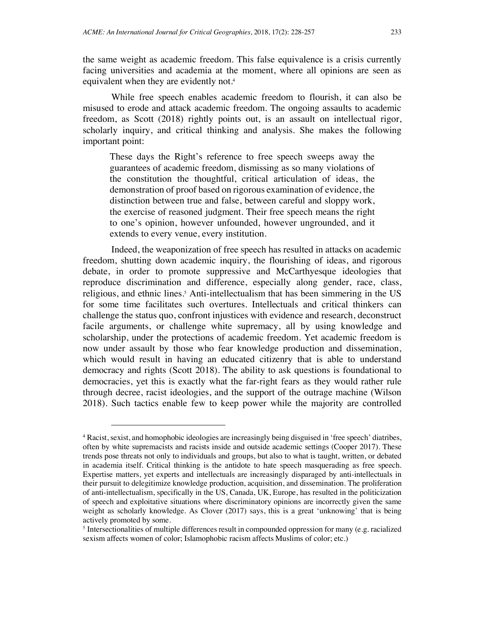the same weight as academic freedom. This false equivalence is a crisis currently facing universities and academia at the moment, where all opinions are seen as equivalent when they are evidently not.<sup>4</sup>

While free speech enables academic freedom to flourish, it can also be misused to erode and attack academic freedom. The ongoing assaults to academic freedom, as Scott (2018) rightly points out, is an assault on intellectual rigor, scholarly inquiry, and critical thinking and analysis. She makes the following important point:

These days the Right's reference to free speech sweeps away the guarantees of academic freedom, dismissing as so many violations of the constitution the thoughtful, critical articulation of ideas, the demonstration of proof based on rigorous examination of evidence, the distinction between true and false, between careful and sloppy work, the exercise of reasoned judgment. Their free speech means the right to one's opinion, however unfounded, however ungrounded, and it extends to every venue, every institution.

Indeed, the weaponization of free speech has resulted in attacks on academic freedom, shutting down academic inquiry, the flourishing of ideas, and rigorous debate, in order to promote suppressive and McCarthyesque ideologies that reproduce discrimination and difference, especially along gender, race, class, religious, and ethnic lines. <sup>5</sup> Anti-intellectualism that has been simmering in the US for some time facilitates such overtures. Intellectuals and critical thinkers can challenge the status quo, confront injustices with evidence and research, deconstruct facile arguments, or challenge white supremacy, all by using knowledge and scholarship, under the protections of academic freedom. Yet academic freedom is now under assault by those who fear knowledge production and dissemination, which would result in having an educated citizenry that is able to understand democracy and rights (Scott 2018). The ability to ask questions is foundational to democracies, yet this is exactly what the far-right fears as they would rather rule through decree, racist ideologies, and the support of the outrage machine (Wilson 2018). Such tactics enable few to keep power while the majority are controlled

<sup>4</sup> Racist, sexist, and homophobic ideologies are increasingly being disguised in 'free speech' diatribes, often by white supremacists and racists inside and outside academic settings (Cooper 2017). These trends pose threats not only to individuals and groups, but also to what is taught, written, or debated in academia itself. Critical thinking is the antidote to hate speech masquerading as free speech. Expertise matters, yet experts and intellectuals are increasingly disparaged by anti-intellectuals in their pursuit to delegitimize knowledge production, acquisition, and dissemination. The proliferation of anti-intellectualism, specifically in the US, Canada, UK, Europe, has resulted in the politicization of speech and exploitative situations where discriminatory opinions are incorrectly given the same weight as scholarly knowledge. As Clover (2017) says, this is a great 'unknowing' that is being actively promoted by some.

<sup>5</sup> Intersectionalities of multiple differences result in compounded oppression for many (e.g. racialized sexism affects women of color; Islamophobic racism affects Muslims of color; etc.)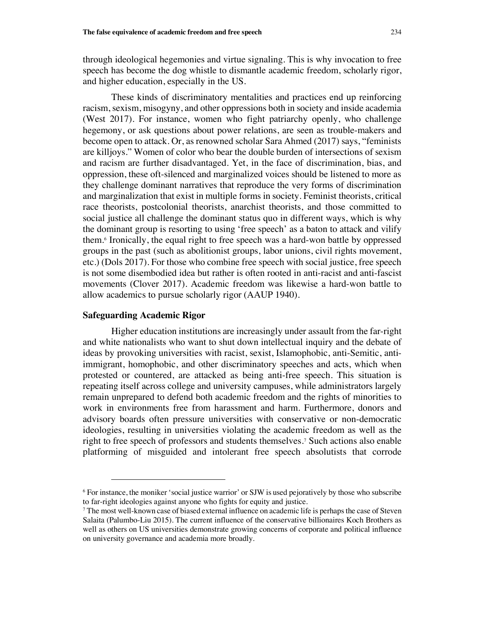through ideological hegemonies and virtue signaling. This is why invocation to free speech has become the dog whistle to dismantle academic freedom, scholarly rigor, and higher education, especially in the US.

These kinds of discriminatory mentalities and practices end up reinforcing racism, sexism, misogyny, and other oppressions both in society and inside academia (West 2017). For instance, women who fight patriarchy openly, who challenge hegemony, or ask questions about power relations, are seen as trouble-makers and become open to attack. Or, as renowned scholar Sara Ahmed (2017) says, "feminists are killjoys." Women of color who bear the double burden of intersections of sexism and racism are further disadvantaged. Yet, in the face of discrimination, bias, and oppression, these oft-silenced and marginalized voices should be listened to more as they challenge dominant narratives that reproduce the very forms of discrimination and marginalization that exist in multiple forms in society. Feminist theorists, critical race theorists, postcolonial theorists, anarchist theorists, and those committed to social justice all challenge the dominant status quo in different ways, which is why the dominant group is resorting to using 'free speech' as a baton to attack and vilify them.<sup>6</sup> Ironically, the equal right to free speech was a hard-won battle by oppressed groups in the past (such as abolitionist groups, labor unions, civil rights movement, etc.) (Dols 2017). For those who combine free speech with social justice, free speech is not some disembodied idea but rather is often rooted in anti-racist and anti-fascist movements (Clover 2017). Academic freedom was likewise a hard-won battle to allow academics to pursue scholarly rigor (AAUP 1940).

#### **Safeguarding Academic Rigor**

l

Higher education institutions are increasingly under assault from the far-right and white nationalists who want to shut down intellectual inquiry and the debate of ideas by provoking universities with racist, sexist, Islamophobic, anti-Semitic, antiimmigrant, homophobic, and other discriminatory speeches and acts, which when protested or countered, are attacked as being anti-free speech. This situation is repeating itself across college and university campuses, while administrators largely remain unprepared to defend both academic freedom and the rights of minorities to work in environments free from harassment and harm. Furthermore, donors and advisory boards often pressure universities with conservative or non-democratic ideologies, resulting in universities violating the academic freedom as well as the right to free speech of professors and students themselves.<sup>7</sup> Such actions also enable platforming of misguided and intolerant free speech absolutists that corrode

<sup>6</sup> For instance, the moniker 'social justice warrior' or SJW is used pejoratively by those who subscribe to far-right ideologies against anyone who fights for equity and justice.

<sup>7</sup> The most well-known case of biased external influence on academic life is perhaps the case of Steven Salaita (Palumbo-Liu 2015). The current influence of the conservative billionaires Koch Brothers as well as others on US universities demonstrate growing concerns of corporate and political influence on university governance and academia more broadly.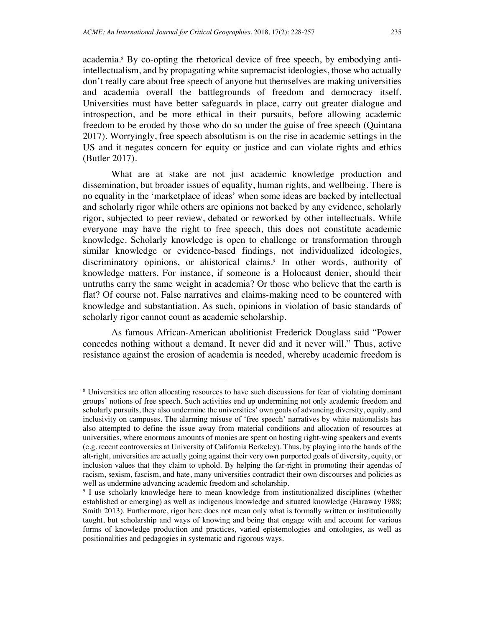academia.<sup>8</sup> By co-opting the rhetorical device of free speech, by embodying antiintellectualism, and by propagating white supremacist ideologies, those who actually don't really care about free speech of anyone but themselves are making universities and academia overall the battlegrounds of freedom and democracy itself. Universities must have better safeguards in place, carry out greater dialogue and introspection, and be more ethical in their pursuits, before allowing academic freedom to be eroded by those who do so under the guise of free speech (Quintana 2017). Worryingly, free speech absolutism is on the rise in academic settings in the US and it negates concern for equity or justice and can violate rights and ethics (Butler 2017).

What are at stake are not just academic knowledge production and dissemination, but broader issues of equality, human rights, and wellbeing. There is no equality in the 'marketplace of ideas' when some ideas are backed by intellectual and scholarly rigor while others are opinions not backed by any evidence, scholarly rigor, subjected to peer review, debated or reworked by other intellectuals. While everyone may have the right to free speech, this does not constitute academic knowledge. Scholarly knowledge is open to challenge or transformation through similar knowledge or evidence-based findings, not individualized ideologies, discriminatory opinions, or ahistorical claims.<sup>9</sup> In other words, authority of knowledge matters. For instance, if someone is a Holocaust denier, should their untruths carry the same weight in academia? Or those who believe that the earth is flat? Of course not. False narratives and claims-making need to be countered with knowledge and substantiation. As such, opinions in violation of basic standards of scholarly rigor cannot count as academic scholarship.

As famous African-American abolitionist Frederick Douglass said "Power concedes nothing without a demand. It never did and it never will." Thus, active resistance against the erosion of academia is needed, whereby academic freedom is

<sup>8</sup> Universities are often allocating resources to have such discussions for fear of violating dominant groups' notions of free speech. Such activities end up undermining not only academic freedom and scholarly pursuits, they also undermine the universities' own goals of advancing diversity, equity, and inclusivity on campuses. The alarming misuse of 'free speech' narratives by white nationalists has also attempted to define the issue away from material conditions and allocation of resources at universities, where enormous amounts of monies are spent on hosting right-wing speakers and events (e.g. recent controversies at University of California Berkeley). Thus, by playing into the hands of the alt-right, universities are actually going against their very own purported goals of diversity, equity, or inclusion values that they claim to uphold. By helping the far-right in promoting their agendas of racism, sexism, fascism, and hate, many universities contradict their own discourses and policies as well as undermine advancing academic freedom and scholarship.

<sup>&</sup>lt;sup>9</sup> I use scholarly knowledge here to mean knowledge from institutionalized disciplines (whether established or emerging) as well as indigenous knowledge and situated knowledge (Haraway 1988; Smith 2013). Furthermore, rigor here does not mean only what is formally written or institutionally taught, but scholarship and ways of knowing and being that engage with and account for various forms of knowledge production and practices, varied epistemologies and ontologies, as well as positionalities and pedagogies in systematic and rigorous ways.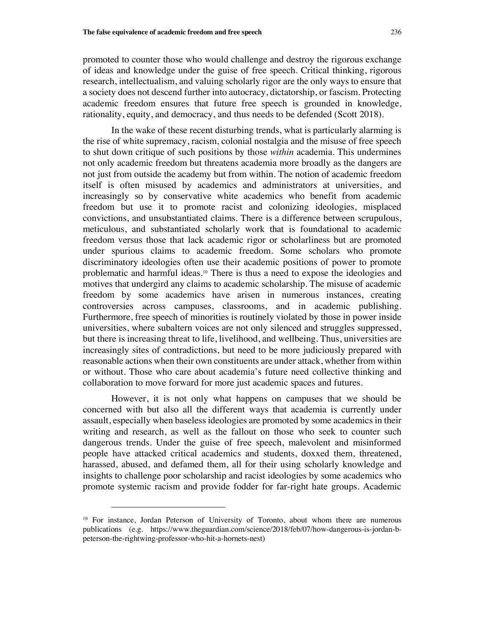promoted to counter those who would challenge and destroy the rigorous exchange of ideas and knowledge under the guise of free speech. Critical thinking, rigorous research, intellectualism, and valuing scholarly rigor are the only ways to ensure that a society does not descend further into autocracy, dictatorship, or fascism. Protecting academic freedom ensures that future free speech is grounded in knowledge, rationality, equity, and democracy, and thus needs to be defended (Scott 2018).

In the wake of these recent disturbing trends, what is particularly alarming is the rise of white supremacy, racism, colonial nostalgia and the misuse of free speech to shut down critique of such positions by those *within* academia. This undermines not only academic freedom but threatens academia more broadly as the dangers are not just from outside the academy but from within. The notion of academic freedom itself is often misused by academics and administrators at universities, and increasingly so by conservative white academics who benefit from academic freedom but use it to promote racist and colonizing ideologies, misplaced convictions, and unsubstantiated claims. There is a difference between scrupulous, meticulous, and substantiated scholarly work that is foundational to academic freedom versus those that lack academic rigor or scholarliness but are promoted under spurious claims to academic freedom. Some scholars who promote discriminatory ideologies often use their academic positions of power to promote problematic and harmful ideas.<sup>10</sup> There is thus a need to expose the ideologies and motives that undergird any claims to academic scholarship. The misuse of academic freedom by some academics have arisen in numerous instances, creating controversies across campuses, classrooms, and in academic publishing. Furthermore, free speech of minorities is routinely violated by those in power inside universities, where subaltern voices are not only silenced and struggles suppressed, but there is increasing threat to life, livelihood, and wellbeing. Thus, universities are increasingly sites of contradictions, but need to be more judiciously prepared with reasonable actions when their own constituents are under attack, whether from within or without. Those who care about academia's future need collective thinking and collaboration to move forward for more just academic spaces and futures.

However, it is not only what happens on campuses that we should be concerned with but also all the different ways that academia is currently under assault, especially when baseless ideologies are promoted by some academics in their writing and research, as well as the fallout on those who seek to counter such dangerous trends. Under the guise of free speech, malevolent and misinformed people have attacked critical academics and students, doxxed them, threatened, harassed, abused, and defamed them, all for their using scholarly knowledge and insights to challenge poor scholarship and racist ideologies by some academics who promote systemic racism and provide fodder for far-right hate groups. Academic

<sup>&</sup>lt;sup>10</sup> For instance, Jordan Peterson of University of Toronto, about whom there are numerous publications (e.g. https://www.theguardian.com/science/2018/feb/07/how-dangerous-is-jordan-bpeterson-the-rightwing-professor-who-hit-a-hornets-nest)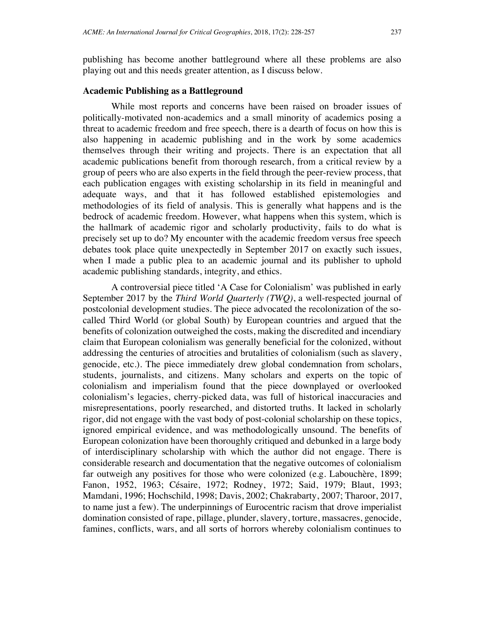playing out and this needs greater attention, as I discuss below.

# **Academic Publishing as a Battleground**

While most reports and concerns have been raised on broader issues of politically-motivated non-academics and a small minority of academics posing a threat to academic freedom and free speech, there is a dearth of focus on how this is also happening in academic publishing and in the work by some academics themselves through their writing and projects. There is an expectation that all academic publications benefit from thorough research, from a critical review by a group of peers who are also experts in the field through the peer-review process, that each publication engages with existing scholarship in its field in meaningful and adequate ways, and that it has followed established epistemologies and methodologies of its field of analysis. This is generally what happens and is the bedrock of academic freedom. However, what happens when this system, which is the hallmark of academic rigor and scholarly productivity, fails to do what is precisely set up to do? My encounter with the academic freedom versus free speech debates took place quite unexpectedly in September 2017 on exactly such issues, when I made a public plea to an academic journal and its publisher to uphold academic publishing standards, integrity, and ethics.

A controversial piece titled 'A Case for Colonialism' was published in early September 2017 by the *Third World Quarterly (TWQ)*, a well-respected journal of postcolonial development studies. The piece advocated the recolonization of the socalled Third World (or global South) by European countries and argued that the benefits of colonization outweighed the costs, making the discredited and incendiary claim that European colonialism was generally beneficial for the colonized, without addressing the centuries of atrocities and brutalities of colonialism (such as slavery, genocide, etc.). The piece immediately drew global condemnation from scholars, students, journalists, and citizens. Many scholars and experts on the topic of colonialism and imperialism found that the piece downplayed or overlooked colonialism's legacies, cherry-picked data, was full of historical inaccuracies and misrepresentations, poorly researched, and distorted truths. It lacked in scholarly rigor, did not engage with the vast body of post-colonial scholarship on these topics, ignored empirical evidence, and was methodologically unsound. The benefits of European colonization have been thoroughly critiqued and debunked in a large body of interdisciplinary scholarship with which the author did not engage. There is considerable research and documentation that the negative outcomes of colonialism far outweigh any positives for those who were colonized (e.g. Labouchère, 1899; Fanon, 1952, 1963; Césaire, 1972; Rodney, 1972; Said, 1979; Blaut, 1993; Mamdani, 1996; Hochschild, 1998; Davis, 2002; Chakrabarty, 2007; Tharoor, 2017, to name just a few). The underpinnings of Eurocentric racism that drove imperialist domination consisted of rape, pillage, plunder, slavery, torture, massacres, genocide, famines, conflicts, wars, and all sorts of horrors whereby colonialism continues to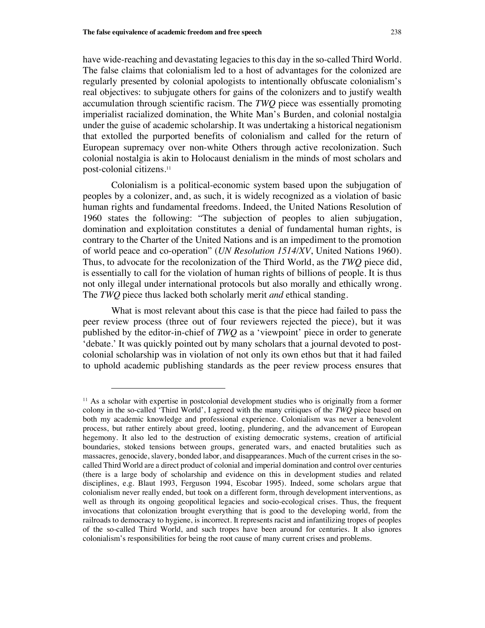l

have wide-reaching and devastating legacies to this day in the so-called Third World. The false claims that colonialism led to a host of advantages for the colonized are regularly presented by colonial apologists to intentionally obfuscate colonialism's real objectives: to subjugate others for gains of the colonizers and to justify wealth accumulation through scientific racism. The *TWQ* piece was essentially promoting imperialist racialized domination, the White Man's Burden, and colonial nostalgia under the guise of academic scholarship. It was undertaking a historical negationism that extolled the purported benefits of colonialism and called for the return of European supremacy over non-white Others through active recolonization. Such colonial nostalgia is akin to Holocaust denialism in the minds of most scholars and post-colonial citizens.<sup>11</sup>

Colonialism is a political-economic system based upon the subjugation of peoples by a colonizer, and, as such, it is widely recognized as a violation of basic human rights and fundamental freedoms. Indeed, the United Nations Resolution of 1960 states the following: "The subjection of peoples to alien subjugation, domination and exploitation constitutes a denial of fundamental human rights, is contrary to the Charter of the United Nations and is an impediment to the promotion of world peace and co-operation" (*UN Resolution 1514/XV*, United Nations 1960). Thus, to advocate for the recolonization of the Third World, as the *TWQ* piece did, is essentially to call for the violation of human rights of billions of people. It is thus not only illegal under international protocols but also morally and ethically wrong. The *TWQ* piece thus lacked both scholarly merit *and* ethical standing.

What is most relevant about this case is that the piece had failed to pass the peer review process (three out of four reviewers rejected the piece), but it was published by the editor-in-chief of *TWQ* as a 'viewpoint' piece in order to generate 'debate.' It was quickly pointed out by many scholars that a journal devoted to postcolonial scholarship was in violation of not only its own ethos but that it had failed to uphold academic publishing standards as the peer review process ensures that

<sup>&</sup>lt;sup>11</sup> As a scholar with expertise in postcolonial development studies who is originally from a former colony in the so-called 'Third World', I agreed with the many critiques of the *TWQ* piece based on both my academic knowledge and professional experience. Colonialism was never a benevolent process, but rather entirely about greed, looting, plundering, and the advancement of European hegemony. It also led to the destruction of existing democratic systems, creation of artificial boundaries, stoked tensions between groups, generated wars, and enacted brutalities such as massacres, genocide, slavery, bonded labor, and disappearances. Much of the current crises in the socalled Third World are a direct product of colonial and imperial domination and control over centuries (there is a large body of scholarship and evidence on this in development studies and related disciplines, e.g. Blaut 1993, Ferguson 1994, Escobar 1995). Indeed, some scholars argue that colonialism never really ended, but took on a different form, through development interventions, as well as through its ongoing geopolitical legacies and socio-ecological crises. Thus, the frequent invocations that colonization brought everything that is good to the developing world, from the railroads to democracy to hygiene, is incorrect. It represents racist and infantilizing tropes of peoples of the so-called Third World, and such tropes have been around for centuries. It also ignores colonialism's responsibilities for being the root cause of many current crises and problems.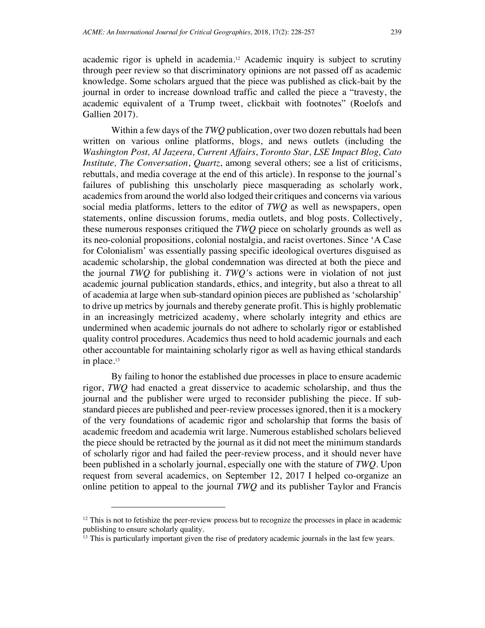academic rigor is upheld in academia.<sup>12</sup> Academic inquiry is subject to scrutiny through peer review so that discriminatory opinions are not passed off as academic knowledge. Some scholars argued that the piece was published as click-bait by the journal in order to increase download traffic and called the piece a "travesty, the academic equivalent of a Trump tweet, clickbait with footnotes" (Roelofs and Gallien 2017).

Within a few days of the *TWQ* publication, over two dozen rebuttals had been written on various online platforms, blogs, and news outlets (including the *Washington Post, Al Jazeera, Current Affairs*, *Toronto Star, LSE Impact Blog, Cato Institute, The Conversation*, *Quartz*, among several others; see a list of criticisms, rebuttals, and media coverage at the end of this article). In response to the journal's failures of publishing this unscholarly piece masquerading as scholarly work, academics from around the world also lodged their critiques and concerns via various social media platforms, letters to the editor of *TWQ* as well as newspapers, open statements, online discussion forums, media outlets, and blog posts. Collectively, these numerous responses critiqued the *TWQ* piece on scholarly grounds as well as its neo-colonial propositions, colonial nostalgia, and racist overtones. Since 'A Case for Colonialism' was essentially passing specific ideological overtures disguised as academic scholarship, the global condemnation was directed at both the piece and the journal *TWQ* for publishing it. *TWQ'*s actions were in violation of not just academic journal publication standards, ethics, and integrity, but also a threat to all of academia at large when sub-standard opinion pieces are published as 'scholarship' to drive up metrics by journals and thereby generate profit. This is highly problematic in an increasingly metricized academy, where scholarly integrity and ethics are undermined when academic journals do not adhere to scholarly rigor or established quality control procedures. Academics thus need to hold academic journals and each other accountable for maintaining scholarly rigor as well as having ethical standards in place.<sup>13</sup>

By failing to honor the established due processes in place to ensure academic rigor, *TWQ* had enacted a great disservice to academic scholarship, and thus the journal and the publisher were urged to reconsider publishing the piece. If substandard pieces are published and peer-review processesignored, then it is a mockery of the very foundations of academic rigor and scholarship that forms the basis of academic freedom and academia writ large. Numerous established scholars believed the piece should be retracted by the journal as it did not meet the minimum standards of scholarly rigor and had failed the peer-review process, and it should never have been published in a scholarly journal, especially one with the stature of *TWQ*. Upon request from several academics, on September 12, 2017 I helped co-organize an online petition to appeal to the journal *TWQ* and its publisher Taylor and Francis

<sup>&</sup>lt;sup>12</sup> This is not to fetishize the peer-review process but to recognize the processes in place in academic publishing to ensure scholarly quality.

<sup>&</sup>lt;sup>13</sup> This is particularly important given the rise of predatory academic journals in the last few years.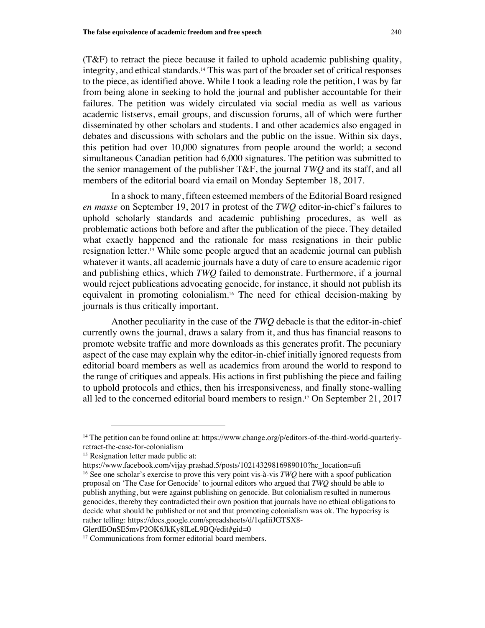(T&F) to retract the piece because it failed to uphold academic publishing quality, integrity, and ethical standards.<sup>14</sup> This was part of the broader set of critical responses to the piece, as identified above. While I took a leading role the petition, I was by far from being alone in seeking to hold the journal and publisher accountable for their failures. The petition was widely circulated via social media as well as various academic listservs, email groups, and discussion forums, all of which were further disseminated by other scholars and students. I and other academics also engaged in debates and discussions with scholars and the public on the issue. Within six days, this petition had over 10,000 signatures from people around the world; a second simultaneous Canadian petition had 6,000 signatures. The petition was submitted to the senior management of the publisher T&F, the journal *TWQ* and its staff, and all members of the editorial board via email on Monday September 18, 2017.

In a shock to many, fifteen esteemed members of the Editorial Board resigned *en masse* on September 19, 2017 in protest of the *TWQ* editor-in-chief's failures to uphold scholarly standards and academic publishing procedures, as well as problematic actions both before and after the publication of the piece. They detailed what exactly happened and the rationale for mass resignations in their public resignation letter.<sup>15</sup> While some people argued that an academic journal can publish whatever it wants, all academic journals have a duty of care to ensure academic rigor and publishing ethics, which *TWQ* failed to demonstrate. Furthermore, if a journal would reject publications advocating genocide, for instance, it should not publish its equivalent in promoting colonialism.<sup>16</sup> The need for ethical decision-making by journals is thus critically important.

Another peculiarity in the case of the *TWQ* debacle is that the editor-in-chief currently owns the journal, draws a salary from it, and thus has financial reasons to promote website traffic and more downloads as this generates profit. The pecuniary aspect of the case may explain why the editor-in-chief initially ignored requests from editorial board members as well as academics from around the world to respond to the range of critiques and appeals. His actions in first publishing the piece and failing to uphold protocols and ethics, then his irresponsiveness, and finally stone-walling all led to the concerned editorial board members to resign.<sup>17</sup> On September 21, 2017

<sup>&</sup>lt;sup>14</sup> The petition can be found online at: https://www.change.org/p/editors-of-the-third-world-quarterlyretract-the-case-for-colonialism

<sup>&</sup>lt;sup>15</sup> Resignation letter made public at:

https://www.facebook.com/vijay.prashad.5/posts/10214329816989010?hc\_location=ufi <sup>16</sup> See one scholar's exercise to prove this very point vis-à-vis *TWQ* here with a spoof publication proposal on 'The Case for Genocide' to journal editors who argued that *TWQ* should be able to publish anything, but were against publishing on genocide. But colonialism resulted in numerous genocides, thereby they contradicted their own position that journals have no ethical obligations to decide what should be published or not and that promoting colonialism was ok. The hypocrisy is rather telling: https://docs.google.com/spreadsheets/d/1qaIiiJGTSX8-

GlertIEOnSE5mvP2OK6JkKy8lLeL9BQ/edit#gid=0

<sup>&</sup>lt;sup>17</sup> Communications from former editorial board members.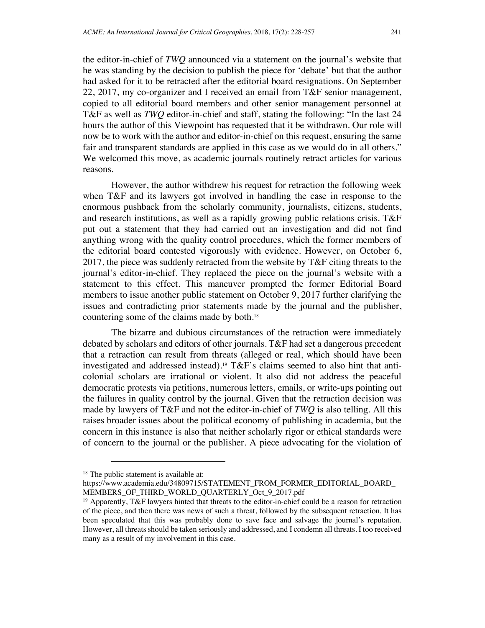the editor-in-chief of *TWQ* announced via a statement on the journal's website that he was standing by the decision to publish the piece for 'debate' but that the author had asked for it to be retracted after the editorial board resignations. On September 22, 2017, my co-organizer and I received an email from T&F senior management, copied to all editorial board members and other senior management personnel at T&F as well as *TWQ* editor-in-chief and staff, stating the following: "In the last 24 hours the author of this Viewpoint has requested that it be withdrawn. Our role will now be to work with the author and editor-in-chief on this request, ensuring the same fair and transparent standards are applied in this case as we would do in all others." We welcomed this move, as academic journals routinely retract articles for various reasons.

However, the author withdrew his request for retraction the following week when T&F and its lawyers got involved in handling the case in response to the enormous pushback from the scholarly community, journalists, citizens, students, and research institutions, as well as a rapidly growing public relations crisis. T&F put out a statement that they had carried out an investigation and did not find anything wrong with the quality control procedures, which the former members of the editorial board contested vigorously with evidence. However, on October 6, 2017, the piece was suddenly retracted from the website by T&F citing threats to the journal's editor-in-chief. They replaced the piece on the journal's website with a statement to this effect. This maneuver prompted the former Editorial Board members to issue another public statement on October 9, 2017 further clarifying the issues and contradicting prior statements made by the journal and the publisher, countering some of the claims made by both.<sup>18</sup>

The bizarre and dubious circumstances of the retraction were immediately debated by scholars and editors of other journals. T&F had set a dangerous precedent that a retraction can result from threats (alleged or real, which should have been investigated and addressed instead).<sup>19</sup> T&F's claims seemed to also hint that anticolonial scholars are irrational or violent. It also did not address the peaceful democratic protests via petitions, numerous letters, emails, or write-ups pointing out the failures in quality control by the journal. Given that the retraction decision was made by lawyers of T&F and not the editor-in-chief of *TWQ* is also telling. All this raises broader issues about the political economy of publishing in academia, but the concern in this instance is also that neither scholarly rigor or ethical standards were of concern to the journal or the publisher. A piece advocating for the violation of

<sup>&</sup>lt;sup>18</sup> The public statement is available at:

https://www.academia.edu/34809715/STATEMENT\_FROM\_FORMER\_EDITORIAL\_BOARD MEMBERS\_OF\_THIRD\_WORLD\_QUARTERLY\_Oct\_9\_2017.pdf

<sup>&</sup>lt;sup>19</sup> Apparently, T&F lawyers hinted that threats to the editor-in-chief could be a reason for retraction of the piece, and then there was news of such a threat, followed by the subsequent retraction. It has been speculated that this was probably done to save face and salvage the journal's reputation. However, all threats should be taken seriously and addressed, and I condemn all threats. I too received many as a result of my involvement in this case.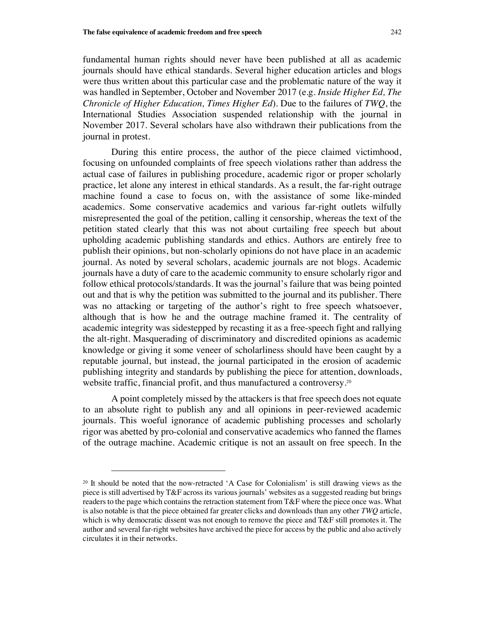fundamental human rights should never have been published at all as academic journals should have ethical standards. Several higher education articles and blogs were thus written about this particular case and the problematic nature of the way it was handled in September, October and November 2017 (e.g. *Inside Higher Ed, The Chronicle of Higher Education, Times Higher Ed*). Due to the failures of *TWQ*, the International Studies Association suspended relationship with the journal in November 2017. Several scholars have also withdrawn their publications from the journal in protest.

During this entire process, the author of the piece claimed victimhood, focusing on unfounded complaints of free speech violations rather than address the actual case of failures in publishing procedure, academic rigor or proper scholarly practice, let alone any interest in ethical standards. As a result, the far-right outrage machine found a case to focus on, with the assistance of some like-minded academics. Some conservative academics and various far-right outlets wilfully misrepresented the goal of the petition, calling it censorship, whereas the text of the petition stated clearly that this was not about curtailing free speech but about upholding academic publishing standards and ethics. Authors are entirely free to publish their opinions, but non-scholarly opinions do not have place in an academic journal. As noted by several scholars, academic journals are not blogs. Academic journals have a duty of care to the academic community to ensure scholarly rigor and follow ethical protocols/standards. It was the journal's failure that was being pointed out and that is why the petition was submitted to the journal and its publisher. There was no attacking or targeting of the author's right to free speech whatsoever, although that is how he and the outrage machine framed it. The centrality of academic integrity was sidestepped by recasting it as a free-speech fight and rallying the alt-right. Masquerading of discriminatory and discredited opinions as academic knowledge or giving it some veneer of scholarliness should have been caught by a reputable journal, but instead, the journal participated in the erosion of academic publishing integrity and standards by publishing the piece for attention, downloads, website traffic, financial profit, and thus manufactured a controversy.<sup>20</sup>

A point completely missed by the attackers is that free speech does not equate to an absolute right to publish any and all opinions in peer-reviewed academic journals. This woeful ignorance of academic publishing processes and scholarly rigor was abetted by pro-colonial and conservative academics who fanned the flames of the outrage machine. Academic critique is not an assault on free speech. In the

<sup>&</sup>lt;sup>20</sup> It should be noted that the now-retracted 'A Case for Colonialism' is still drawing views as the piece is still advertised by T&F across its various journals' websites as a suggested reading but brings readers to the page which contains the retraction statement from T&F where the piece once was. What is also notable is that the piece obtained far greater clicks and downloads than any other *TWQ* article, which is why democratic dissent was not enough to remove the piece and T&F still promotes it. The author and several far-right websites have archived the piece for access by the public and also actively circulates it in their networks.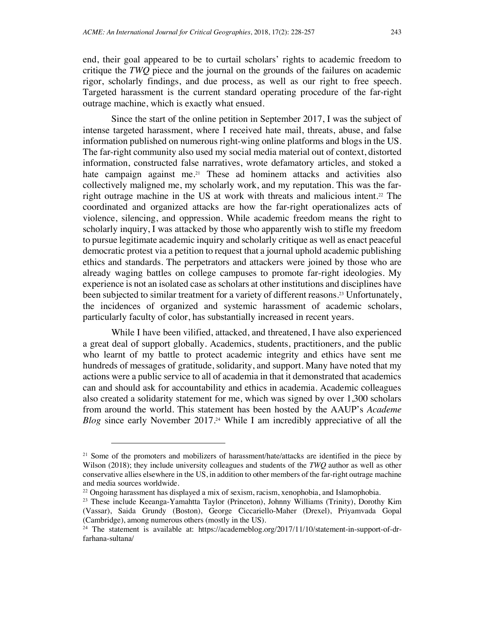end, their goal appeared to be to curtail scholars' rights to academic freedom to critique the *TWQ* piece and the journal on the grounds of the failures on academic rigor, scholarly findings, and due process, as well as our right to free speech. Targeted harassment is the current standard operating procedure of the far-right outrage machine, which is exactly what ensued.

Since the start of the online petition in September 2017, I was the subject of intense targeted harassment, where I received hate mail, threats, abuse, and false information published on numerous right-wing online platforms and blogs in the US. The far-right community also used my social media material out of context, distorted information, constructed false narratives, wrote defamatory articles, and stoked a hate campaign against me.<sup>21</sup> These ad hominem attacks and activities also collectively maligned me, my scholarly work, and my reputation. This was the farright outrage machine in the US at work with threats and malicious intent.<sup>22</sup> The coordinated and organized attacks are how the far-right operationalizes acts of violence, silencing, and oppression. While academic freedom means the right to scholarly inquiry, I was attacked by those who apparently wish to stifle my freedom to pursue legitimate academic inquiry and scholarly critique as well as enact peaceful democratic protest via a petition to request that a journal uphold academic publishing ethics and standards. The perpetrators and attackers were joined by those who are already waging battles on college campuses to promote far-right ideologies. My experience is not an isolated case as scholars at other institutions and disciplines have been subjected to similar treatment for a variety of different reasons.<sup>23</sup> Unfortunately, the incidences of organized and systemic harassment of academic scholars, particularly faculty of color, has substantially increased in recent years.

While I have been vilified, attacked, and threatened, I have also experienced a great deal of support globally. Academics, students, practitioners, and the public who learnt of my battle to protect academic integrity and ethics have sent me hundreds of messages of gratitude, solidarity, and support. Many have noted that my actions were a public service to all of academia in that it demonstrated that academics can and should ask for accountability and ethics in academia. Academic colleagues also created a solidarity statement for me, which was signed by over 1,300 scholars from around the world. This statement has been hosted by the AAUP's *Academe Blog* since early November 2017.<sup>24</sup> While I am incredibly appreciative of all the

<sup>&</sup>lt;sup>21</sup> Some of the promoters and mobilizers of harassment/hate/attacks are identified in the piece by Wilson (2018); they include university colleagues and students of the *TWQ* author as well as other conservative allies elsewhere in the US, in addition to other members of the far-right outrage machine and media sources worldwide.

<sup>22</sup> Ongoing harassment has displayed a mix of sexism, racism, xenophobia, and Islamophobia.

<sup>23</sup> These include Keeanga-Yamahtta Taylor (Princeton), Johnny Williams (Trinity), Dorothy Kim (Vassar), Saida Grundy (Boston), George Ciccariello-Maher (Drexel), Priyamvada Gopal (Cambridge), among numerous others (mostly in the US).

<sup>&</sup>lt;sup>24</sup> The statement is available at: https://academeblog.org/2017/11/10/statement-in-support-of-drfarhana-sultana/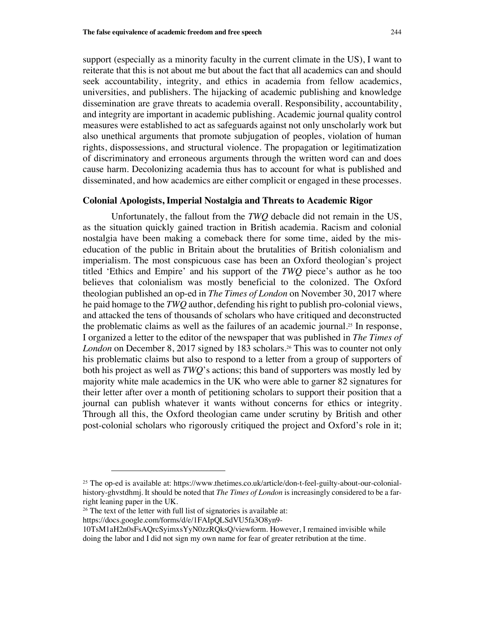support (especially as a minority faculty in the current climate in the US), I want to reiterate that this is not about me but about the fact that all academics can and should seek accountability, integrity, and ethics in academia from fellow academics, universities, and publishers. The hijacking of academic publishing and knowledge dissemination are grave threats to academia overall. Responsibility, accountability, and integrity are important in academic publishing. Academic journal quality control measures were established to act as safeguards against not only unscholarly work but also unethical arguments that promote subjugation of peoples, violation of human rights, dispossessions, and structural violence. The propagation or legitimatization of discriminatory and erroneous arguments through the written word can and does cause harm. Decolonizing academia thus has to account for what is published and disseminated, and how academics are either complicit or engaged in these processes.

#### **Colonial Apologists, Imperial Nostalgia and Threats to Academic Rigor**

Unfortunately, the fallout from the *TWQ* debacle did not remain in the US, as the situation quickly gained traction in British academia. Racism and colonial nostalgia have been making a comeback there for some time, aided by the miseducation of the public in Britain about the brutalities of British colonialism and imperialism. The most conspicuous case has been an Oxford theologian's project titled 'Ethics and Empire' and his support of the *TWQ* piece's author as he too believes that colonialism was mostly beneficial to the colonized. The Oxford theologian published an op-ed in *The Times of London* on November 30, 2017 where he paid homage to the *TWQ* author, defending his right to publish pro-colonial views, and attacked the tens of thousands of scholars who have critiqued and deconstructed the problematic claims as well as the failures of an academic journal.<sup>25</sup> In response, I organized a letter to the editor of the newspaper that was published in *The Times of London* on December 8, 2017 signed by 183 scholars.<sup>26</sup> This was to counter not only his problematic claims but also to respond to a letter from a group of supporters of both his project as well as *TWQ*'s actions; this band of supporters was mostly led by majority white male academics in the UK who were able to garner 82 signatures for their letter after over a month of petitioning scholars to support their position that a journal can publish whatever it wants without concerns for ethics or integrity. Through all this, the Oxford theologian came under scrutiny by British and other post-colonial scholars who rigorously critiqued the project and Oxford's role in it;

<sup>&</sup>lt;sup>25</sup> The op-ed is available at: https://www.thetimes.co.uk/article/don-t-feel-guilty-about-our-colonialhistory-ghvstdhmj. It should be noted that *The Times of London* is increasingly considered to be a farright leaning paper in the UK.

<sup>&</sup>lt;sup>26</sup> The text of the letter with full list of signatories is available at:

https://docs.google.com/forms/d/e/1FAIpQLSdVU5fa3O8yn9-

<sup>10</sup>TsM1aH2n0sFsAQrcSyimxsYyN0zzRQksQ/viewform. However, I remained invisible while doing the labor and I did not sign my own name for fear of greater retribution at the time.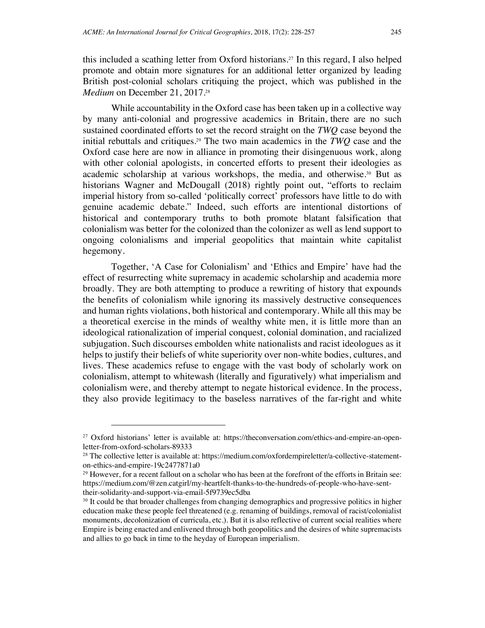*Medium* on December 21, 2017.<sup>28</sup>

 $\overline{a}$ 

this included a scathing letter from Oxford historians.<sup>27</sup> In this regard, I also helped promote and obtain more signatures for an additional letter organized by leading British post-colonial scholars critiquing the project, which was published in the

While accountability in the Oxford case has been taken up in a collective way by many anti-colonial and progressive academics in Britain, there are no such sustained coordinated efforts to set the record straight on the *TWQ* case beyond the initial rebuttals and critiques. <sup>29</sup> The two main academics in the *TWQ* case and the Oxford case here are now in alliance in promoting their disingenuous work, along with other colonial apologists, in concerted efforts to present their ideologies as academic scholarship at various workshops, the media, and otherwise.<sup>30</sup> But as historians Wagner and McDougall (2018) rightly point out, "efforts to reclaim imperial history from so-called 'politically correct' professors have little to do with genuine academic debate." Indeed, such efforts are intentional distortions of historical and contemporary truths to both promote blatant falsification that colonialism was better for the colonized than the colonizer as well as lend support to ongoing colonialisms and imperial geopolitics that maintain white capitalist hegemony.

Together, 'A Case for Colonialism' and 'Ethics and Empire' have had the effect of resurrecting white supremacy in academic scholarship and academia more broadly. They are both attempting to produce a rewriting of history that expounds the benefits of colonialism while ignoring its massively destructive consequences and human rights violations, both historical and contemporary. While all this may be a theoretical exercise in the minds of wealthy white men, it is little more than an ideological rationalization of imperial conquest, colonial domination, and racialized subjugation. Such discourses embolden white nationalists and racist ideologues as it helps to justify their beliefs of white superiority over non-white bodies, cultures, and lives. These academics refuse to engage with the vast body of scholarly work on colonialism, attempt to whitewash (literally and figuratively) what imperialism and colonialism were, and thereby attempt to negate historical evidence. In the process, they also provide legitimacy to the baseless narratives of the far-right and white

<sup>27</sup> Oxford historians' letter is available at: https://theconversation.com/ethics-and-empire-an-openletter-from-oxford-scholars-89333

<sup>28</sup> The collective letter is available at: https://medium.com/oxfordempireletter/a-collective-statementon-ethics-and-empire-19c2477871a0

<sup>&</sup>lt;sup>29</sup> However, for a recent fallout on a scholar who has been at the forefront of the efforts in Britain see: https://medium.com/@zen.catgirl/my-heartfelt-thanks-to-the-hundreds-of-people-who-have-senttheir-solidarity-and-support-via-email-5f9739ec5dba

<sup>&</sup>lt;sup>30</sup> It could be that broader challenges from changing demographics and progressive politics in higher education make these people feel threatened (e.g. renaming of buildings, removal of racist/colonialist monuments, decolonization of curricula, etc.). But it is also reflective of current social realities where Empire is being enacted and enlivened through both geopolitics and the desires of white supremacists and allies to go back in time to the heyday of European imperialism.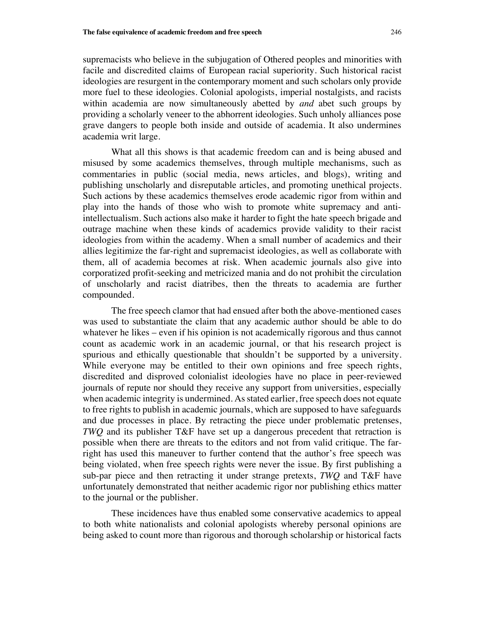supremacists who believe in the subjugation of Othered peoples and minorities with facile and discredited claims of European racial superiority. Such historical racist ideologies are resurgent in the contemporary moment and such scholars only provide more fuel to these ideologies. Colonial apologists, imperial nostalgists, and racists within academia are now simultaneously abetted by *and* abet such groups by providing a scholarly veneer to the abhorrent ideologies. Such unholy alliances pose grave dangers to people both inside and outside of academia. It also undermines academia writ large.

What all this shows is that academic freedom can and is being abused and misused by some academics themselves, through multiple mechanisms, such as commentaries in public (social media, news articles, and blogs), writing and publishing unscholarly and disreputable articles, and promoting unethical projects. Such actions by these academics themselves erode academic rigor from within and play into the hands of those who wish to promote white supremacy and antiintellectualism. Such actions also make it harder to fight the hate speech brigade and outrage machine when these kinds of academics provide validity to their racist ideologies from within the academy. When a small number of academics and their allies legitimize the far-right and supremacist ideologies, as well as collaborate with them, all of academia becomes at risk. When academic journals also give into corporatized profit-seeking and metricized mania and do not prohibit the circulation of unscholarly and racist diatribes, then the threats to academia are further compounded.

The free speech clamor that had ensued after both the above-mentioned cases was used to substantiate the claim that any academic author should be able to do whatever he likes – even if his opinion is not academically rigorous and thus cannot count as academic work in an academic journal, or that his research project is spurious and ethically questionable that shouldn't be supported by a university. While everyone may be entitled to their own opinions and free speech rights, discredited and disproved colonialist ideologies have no place in peer-reviewed journals of repute nor should they receive any support from universities, especially when academic integrity is undermined. As stated earlier, free speech does not equate to free rights to publish in academic journals, which are supposed to have safeguards and due processes in place. By retracting the piece under problematic pretenses, *TWQ* and its publisher T&F have set up a dangerous precedent that retraction is possible when there are threats to the editors and not from valid critique. The farright has used this maneuver to further contend that the author's free speech was being violated, when free speech rights were never the issue. By first publishing a sub-par piece and then retracting it under strange pretexts, *TWQ* and T&F have unfortunately demonstrated that neither academic rigor nor publishing ethics matter to the journal or the publisher.

These incidences have thus enabled some conservative academics to appeal to both white nationalists and colonial apologists whereby personal opinions are being asked to count more than rigorous and thorough scholarship or historical facts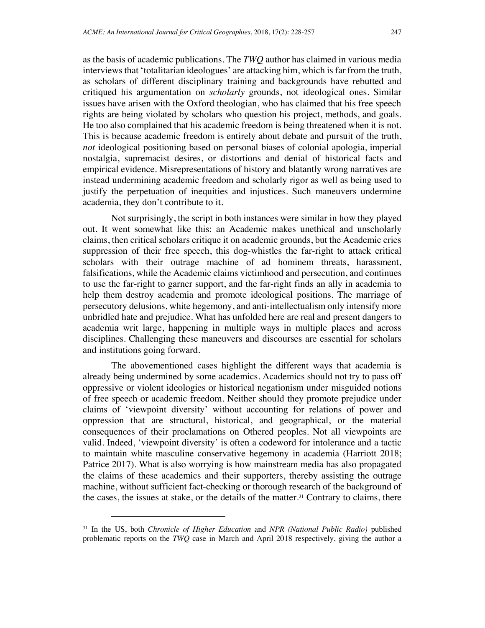as the basis of academic publications. The *TWQ* author has claimed in various media interviews that 'totalitarian ideologues' are attacking him, which is far from the truth, as scholars of different disciplinary training and backgrounds have rebutted and critiqued his argumentation on *scholarly* grounds, not ideological ones. Similar issues have arisen with the Oxford theologian, who has claimed that his free speech rights are being violated by scholars who question his project, methods, and goals. He too also complained that his academic freedom is being threatened when it is not. This is because academic freedom is entirely about debate and pursuit of the truth, *not* ideological positioning based on personal biases of colonial apologia, imperial nostalgia, supremacist desires, or distortions and denial of historical facts and empirical evidence. Misrepresentations of history and blatantly wrong narratives are instead undermining academic freedom and scholarly rigor as well as being used to justify the perpetuation of inequities and injustices. Such maneuvers undermine academia, they don't contribute to it.

Not surprisingly, the script in both instances were similar in how they played out. It went somewhat like this: an Academic makes unethical and unscholarly claims, then critical scholars critique it on academic grounds, but the Academic cries suppression of their free speech, this dog-whistles the far-right to attack critical scholars with their outrage machine of ad hominem threats, harassment, falsifications, while the Academic claims victimhood and persecution, and continues to use the far-right to garner support, and the far-right finds an ally in academia to help them destroy academia and promote ideological positions. The marriage of persecutory delusions, white hegemony, and anti-intellectualism only intensify more unbridled hate and prejudice. What has unfolded here are real and present dangers to academia writ large, happening in multiple ways in multiple places and across disciplines. Challenging these maneuvers and discourses are essential for scholars and institutions going forward.

The abovementioned cases highlight the different ways that academia is already being undermined by some academics. Academics should not try to pass off oppressive or violent ideologies or historical negationism under misguided notions of free speech or academic freedom. Neither should they promote prejudice under claims of 'viewpoint diversity' without accounting for relations of power and oppression that are structural, historical, and geographical, or the material consequences of their proclamations on Othered peoples. Not all viewpoints are valid. Indeed, 'viewpoint diversity' is often a codeword for intolerance and a tactic to maintain white masculine conservative hegemony in academia (Harriott 2018; Patrice 2017). What is also worrying is how mainstream media has also propagated the claims of these academics and their supporters, thereby assisting the outrage machine, without sufficient fact-checking or thorough research of the background of the cases, the issues at stake, or the details of the matter.<sup>31</sup> Contrary to claims, there

<sup>31</sup> In the US, both *Chronicle of Higher Education* and *NPR (National Public Radio)* published problematic reports on the *TWQ* case in March and April 2018 respectively, giving the author a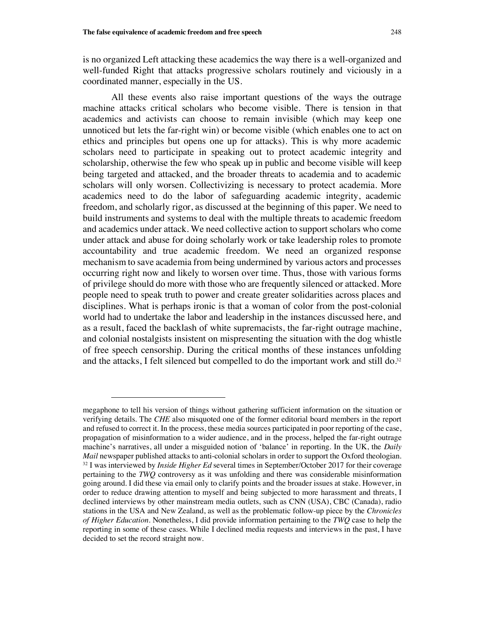l

is no organized Left attacking these academics the way there is a well-organized and well-funded Right that attacks progressive scholars routinely and viciously in a coordinated manner, especially in the US.

All these events also raise important questions of the ways the outrage machine attacks critical scholars who become visible. There is tension in that academics and activists can choose to remain invisible (which may keep one unnoticed but lets the far-right win) or become visible (which enables one to act on ethics and principles but opens one up for attacks). This is why more academic scholars need to participate in speaking out to protect academic integrity and scholarship, otherwise the few who speak up in public and become visible will keep being targeted and attacked, and the broader threats to academia and to academic scholars will only worsen. Collectivizing is necessary to protect academia. More academics need to do the labor of safeguarding academic integrity, academic freedom, and scholarly rigor, as discussed at the beginning of this paper. We need to build instruments and systems to deal with the multiple threats to academic freedom and academics under attack. We need collective action to support scholars who come under attack and abuse for doing scholarly work or take leadership roles to promote accountability and true academic freedom. We need an organized response mechanism to save academia from being undermined by various actors and processes occurring right now and likely to worsen over time. Thus, those with various forms of privilege should do more with those who are frequently silenced or attacked. More people need to speak truth to power and create greater solidarities across places and disciplines. What is perhaps ironic is that a woman of color from the post-colonial world had to undertake the labor and leadership in the instances discussed here, and as a result, faced the backlash of white supremacists, the far-right outrage machine, and colonial nostalgists insistent on mispresenting the situation with the dog whistle of free speech censorship. During the critical months of these instances unfolding and the attacks, I felt silenced but compelled to do the important work and still do.<sup>32</sup>

megaphone to tell his version of things without gathering sufficient information on the situation or verifying details. The *CHE* also misquoted one of the former editorial board members in the report and refused to correct it. In the process, these media sources participated in poor reporting of the case, propagation of misinformation to a wider audience, and in the process, helped the far-right outrage machine's narratives, all under a misguided notion of 'balance' in reporting. In the UK, the *Daily Mail* newspaper published attacks to anti-colonial scholars in order to support the Oxford theologian. <sup>32</sup> I was interviewed by *Inside Higher Ed* several times in September/October 2017 for their coverage pertaining to the *TWQ* controversy as it was unfolding and there was considerable misinformation going around. I did these via email only to clarify points and the broader issues at stake. However, in order to reduce drawing attention to myself and being subjected to more harassment and threats, I declined interviews by other mainstream media outlets, such as CNN (USA), CBC (Canada), radio stations in the USA and New Zealand, as well as the problematic follow-up piece by the *Chronicles of Higher Education*. Nonetheless, I did provide information pertaining to the *TWQ* case to help the reporting in some of these cases. While I declined media requests and interviews in the past, I have decided to set the record straight now.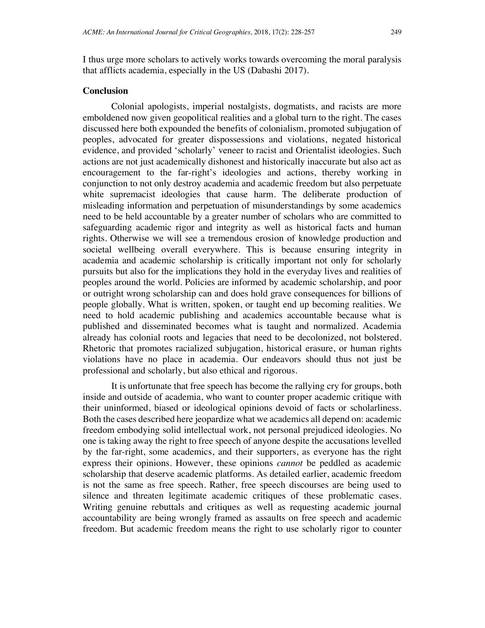I thus urge more scholars to actively works towards overcoming the moral paralysis that afflicts academia, especially in the US (Dabashi 2017).

### **Conclusion**

Colonial apologists, imperial nostalgists, dogmatists, and racists are more emboldened now given geopolitical realities and a global turn to the right. The cases discussed here both expounded the benefits of colonialism, promoted subjugation of peoples, advocated for greater dispossessions and violations, negated historical evidence, and provided 'scholarly' veneer to racist and Orientalist ideologies. Such actions are not just academically dishonest and historically inaccurate but also act as encouragement to the far-right's ideologies and actions, thereby working in conjunction to not only destroy academia and academic freedom but also perpetuate white supremacist ideologies that cause harm. The deliberate production of misleading information and perpetuation of misunderstandings by some academics need to be held accountable by a greater number of scholars who are committed to safeguarding academic rigor and integrity as well as historical facts and human rights. Otherwise we will see a tremendous erosion of knowledge production and societal wellbeing overall everywhere. This is because ensuring integrity in academia and academic scholarship is critically important not only for scholarly pursuits but also for the implications they hold in the everyday lives and realities of peoples around the world. Policies are informed by academic scholarship, and poor or outright wrong scholarship can and does hold grave consequences for billions of people globally. What is written, spoken, or taught end up becoming realities. We need to hold academic publishing and academics accountable because what is published and disseminated becomes what is taught and normalized. Academia already has colonial roots and legacies that need to be decolonized, not bolstered. Rhetoric that promotes racialized subjugation, historical erasure, or human rights violations have no place in academia. Our endeavors should thus not just be professional and scholarly, but also ethical and rigorous.

It is unfortunate that free speech has become the rallying cry for groups, both inside and outside of academia, who want to counter proper academic critique with their uninformed, biased or ideological opinions devoid of facts or scholarliness. Both the cases described here jeopardize what we academics all depend on: academic freedom embodying solid intellectual work, not personal prejudiced ideologies. No one is taking away the right to free speech of anyone despite the accusations levelled by the far-right, some academics, and their supporters, as everyone has the right express their opinions. However, these opinions *cannot* be peddled as academic scholarship that deserve academic platforms. As detailed earlier, academic freedom is not the same as free speech. Rather, free speech discourses are being used to silence and threaten legitimate academic critiques of these problematic cases. Writing genuine rebuttals and critiques as well as requesting academic journal accountability are being wrongly framed as assaults on free speech and academic freedom. But academic freedom means the right to use scholarly rigor to counter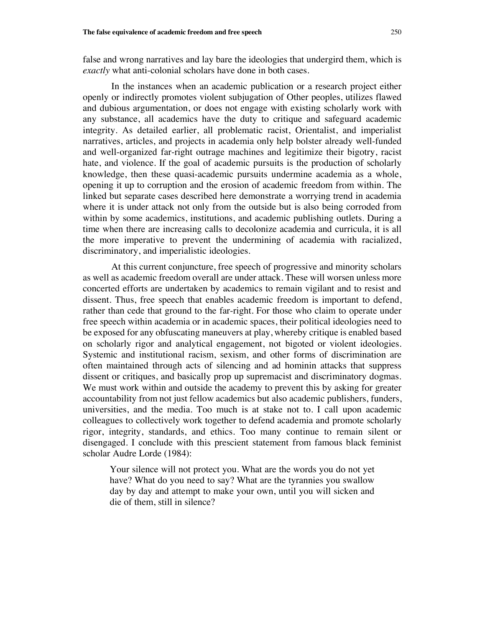false and wrong narratives and lay bare the ideologies that undergird them, which is *exactly* what anti-colonial scholars have done in both cases.

In the instances when an academic publication or a research project either openly or indirectly promotes violent subjugation of Other peoples, utilizes flawed and dubious argumentation, or does not engage with existing scholarly work with any substance, all academics have the duty to critique and safeguard academic integrity. As detailed earlier, all problematic racist, Orientalist, and imperialist narratives, articles, and projects in academia only help bolster already well-funded and well-organized far-right outrage machines and legitimize their bigotry, racist hate, and violence. If the goal of academic pursuits is the production of scholarly knowledge, then these quasi-academic pursuits undermine academia as a whole, opening it up to corruption and the erosion of academic freedom from within. The linked but separate cases described here demonstrate a worrying trend in academia where it is under attack not only from the outside but is also being corroded from within by some academics, institutions, and academic publishing outlets. During a time when there are increasing calls to decolonize academia and curricula, it is all the more imperative to prevent the undermining of academia with racialized, discriminatory, and imperialistic ideologies.

At this current conjuncture, free speech of progressive and minority scholars as well as academic freedom overall are under attack. These will worsen unless more concerted efforts are undertaken by academics to remain vigilant and to resist and dissent. Thus, free speech that enables academic freedom is important to defend, rather than cede that ground to the far-right. For those who claim to operate under free speech within academia or in academic spaces, their political ideologies need to be exposed for any obfuscating maneuvers at play, whereby critique is enabled based on scholarly rigor and analytical engagement, not bigoted or violent ideologies. Systemic and institutional racism, sexism, and other forms of discrimination are often maintained through acts of silencing and ad hominin attacks that suppress dissent or critiques, and basically prop up supremacist and discriminatory dogmas. We must work within and outside the academy to prevent this by asking for greater accountability from not just fellow academics but also academic publishers, funders, universities, and the media. Too much is at stake not to. I call upon academic colleagues to collectively work together to defend academia and promote scholarly rigor, integrity, standards, and ethics. Too many continue to remain silent or disengaged. I conclude with this prescient statement from famous black feminist scholar Audre Lorde (1984):

Your silence will not protect you. What are the words you do not yet have? What do you need to say? What are the tyrannies you swallow day by day and attempt to make your own, until you will sicken and die of them, still in silence?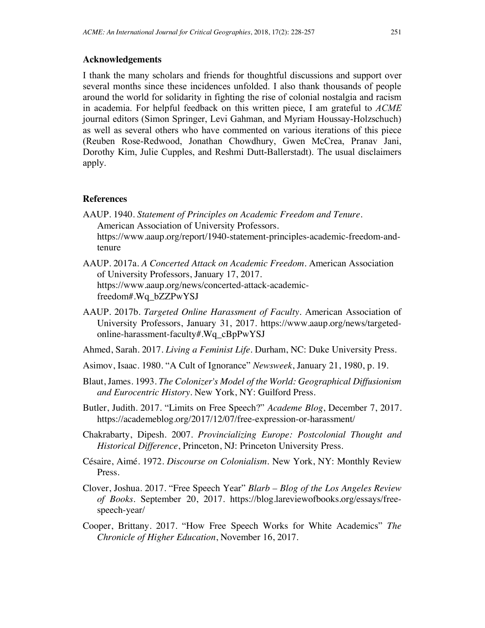#### **Acknowledgements**

I thank the many scholars and friends for thoughtful discussions and support over several months since these incidences unfolded. I also thank thousands of people around the world for solidarity in fighting the rise of colonial nostalgia and racism in academia. For helpful feedback on this written piece, I am grateful to *ACME* journal editors (Simon Springer, Levi Gahman, and Myriam Houssay-Holzschuch) as well as several others who have commented on various iterations of this piece (Reuben Rose-Redwood, Jonathan Chowdhury, Gwen McCrea, Pranav Jani, Dorothy Kim, Julie Cupples, and Reshmi Dutt-Ballerstadt). The usual disclaimers apply.

#### **References**

- AAUP. 1940. *Statement of Principles on Academic Freedom and Tenure*. American Association of University Professors. https://www.aaup.org/report/1940-statement-principles-academic-freedom-andtenure
- AAUP. 2017a. *A Concerted Attack on Academic Freedom.* American Association of University Professors, January 17, 2017. https://www.aaup.org/news/concerted-attack-academicfreedom#.Wq\_bZZPwYSJ
- AAUP. 2017b. *Targeted Online Harassment of Faculty.* American Association of University Professors, January 31, 2017. https://www.aaup.org/news/targetedonline-harassment-faculty#.Wq\_cBpPwYSJ
- Ahmed, Sarah. 2017. *Living a Feminist Life*. Durham, NC: Duke University Press.
- Asimov, Isaac. 1980. "A Cult of Ignorance" *Newsweek*, January 21, 1980, p. 19.
- Blaut, James. 1993. *The Colonizer's Model of the World: Geographical Diffusionism and Eurocentric History*. New York, NY: Guilford Press.
- Butler, Judith. 2017. "Limits on Free Speech?" *Academe Blog*, December 7, 2017. https://academeblog.org/2017/12/07/free-expression-or-harassment/
- Chakrabarty, Dipesh. 2007. *Provincializing Europe: Postcolonial Thought and Historical Difference*, Princeton, NJ: Princeton University Press.
- Césaire, Aimé. 1972. *Discourse on Colonialism.* New York, NY: Monthly Review Press.
- Clover, Joshua. 2017. "Free Speech Year" *Blarb – Blog of the Los Angeles Review of Books*. September 20, 2017. https://blog.lareviewofbooks.org/essays/freespeech-year/
- Cooper, Brittany. 2017. "How Free Speech Works for White Academics" *The Chronicle of Higher Education*, November 16, 2017.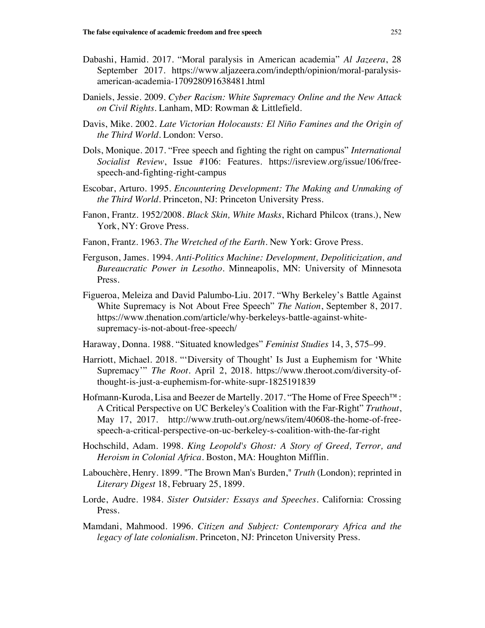- Dabashi, Hamid. 2017. "Moral paralysis in American academia" *Al Jazeera*, 28 September 2017. https://www.aljazeera.com/indepth/opinion/moral-paralysisamerican-academia-170928091638481.html
- Daniels, Jessie. 2009. *Cyber Racism: White Supremacy Online and the New Attack on Civil Rights*. Lanham, MD: Rowman & Littlefield.
- Davis, Mike. 2002. *Late Victorian Holocausts: El Niño Famines and the Origin of the Third World.* London: Verso.
- Dols, Monique. 2017. "Free speech and fighting the right on campus" *International Socialist Review*, Issue #106: Features. https://isreview.org/issue/106/freespeech-and-fighting-right-campus
- Escobar, Arturo. 1995. *Encountering Development: The Making and Unmaking of the Third World.* Princeton, NJ: Princeton University Press.
- Fanon, Frantz. 1952/2008. *Black Skin, White Masks*, Richard Philcox (trans.), New York, NY: Grove Press.
- Fanon, Frantz. 1963. *The Wretched of the Earth*. New York: Grove Press.
- Ferguson, James. 1994. *Anti-Politics Machine: Development, Depoliticization, and Bureaucratic Power in Lesotho.* Minneapolis, MN: University of Minnesota Press.
- Figueroa, Meleiza and David Palumbo-Liu. 2017. "Why Berkeley's Battle Against White Supremacy is Not About Free Speech" *The Nation*, September 8, 2017. https://www.thenation.com/article/why-berkeleys-battle-against-whitesupremacy-is-not-about-free-speech/
- Haraway, Donna. 1988. "Situated knowledges" *Feminist Studies* 14, 3, 575–99.
- Harriott, Michael. 2018. "'Diversity of Thought' Is Just a Euphemism for 'White Supremacy'" *The Root*. April 2, 2018. https://www.theroot.com/diversity-ofthought-is-just-a-euphemism-for-white-supr-1825191839
- Hofmann-Kuroda, Lisa and Beezer de Martelly. 2017. "The Home of Free Speech™: A Critical Perspective on UC Berkeley's Coalition with the Far-Right" *Truthout*, May 17, 2017. http://www.truth-out.org/news/item/40608-the-home-of-freespeech-a-critical-perspective-on-uc-berkeley-s-coalition-with-the-far-right
- Hochschild, Adam. 1998. *King Leopold's Ghost: A Story of Greed, Terror, and Heroism in Colonial Africa*. Boston, MA: Houghton Mifflin.
- Labouchère, Henry. 1899. "The Brown Man's Burden," *Truth* (London); reprinted in *Literary Digest* 18, February 25, 1899.
- Lorde, Audre. 1984. *Sister Outsider: Essays and Speeches*. California: Crossing Press.
- Mamdani, Mahmood. 1996. *Citizen and Subject: Contemporary Africa and the legacy of late colonialism*. Princeton, NJ: Princeton University Press.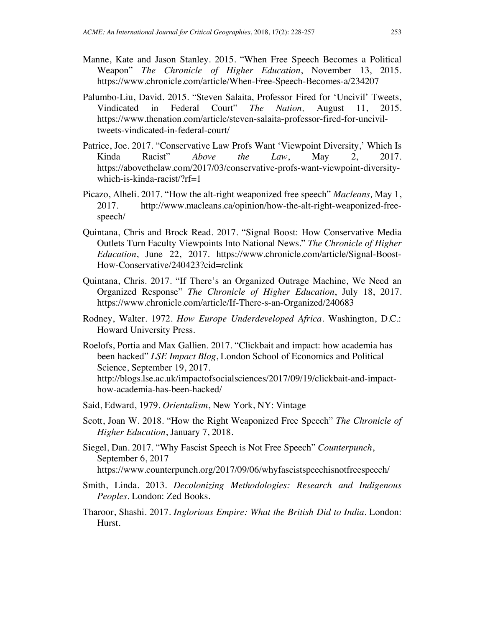- Manne, Kate and Jason Stanley. 2015. "When Free Speech Becomes a Political Weapon" *The Chronicle of Higher Education*, November 13, 2015. https://www.chronicle.com/article/When-Free-Speech-Becomes-a/234207
- Palumbo-Liu, David. 2015. "Steven Salaita, Professor Fired for 'Uncivil' Tweets, Vindicated in Federal Court" *The Nation,* August 11, 2015. https://www.thenation.com/article/steven-salaita-professor-fired-for-unciviltweets-vindicated-in-federal-court/
- Patrice, Joe. 2017. "Conservative Law Profs Want 'Viewpoint Diversity,' Which Is Kinda Racist" *Above the Law*, May 2, 2017. https://abovethelaw.com/2017/03/conservative-profs-want-viewpoint-diversitywhich-is-kinda-racist/?rf=1
- Picazo, Alheli. 2017. "How the alt-right weaponized free speech" *Macleans,* May 1, 2017. http://www.macleans.ca/opinion/how-the-alt-right-weaponized-freespeech/
- Quintana, Chris and Brock Read. 2017. "Signal Boost: How Conservative Media Outlets Turn Faculty Viewpoints Into National News." *The Chronicle of Higher Education*, June 22, 2017. https://www.chronicle.com/article/Signal-Boost-How-Conservative/240423?cid=rclink
- Quintana, Chris. 2017. "If There's an Organized Outrage Machine, We Need an Organized Response" *The Chronicle of Higher Education*, July 18, 2017. https://www.chronicle.com/article/If-There-s-an-Organized/240683
- Rodney, Walter. 1972. *How Europe Underdeveloped Africa.* Washington, D.C.: Howard University Press.
- Roelofs, Portia and Max Gallien. 2017. "Clickbait and impact: how academia has been hacked" *LSE Impact Blog*, London School of Economics and Political Science, September 19, 2017. http://blogs.lse.ac.uk/impactofsocialsciences/2017/09/19/clickbait-and-impacthow-academia-has-been-hacked/
- Said, Edward, 1979. *Orientalism*, New York, NY: Vintage
- Scott, Joan W. 2018. "How the Right Weaponized Free Speech" *The Chronicle of Higher Education*, January 7, 2018.
- Siegel, Dan. 2017. "Why Fascist Speech is Not Free Speech" *Counterpunch*, September 6, 2017 https://www.counterpunch.org/2017/09/06/whyfascistspeechisnotfreespeech/
- Smith, Linda. 2013. *Decolonizing Methodologies: Research and Indigenous Peoples*. London: Zed Books.
- Tharoor, Shashi. 2017. *Inglorious Empire: What the British Did to India*. London: Hurst.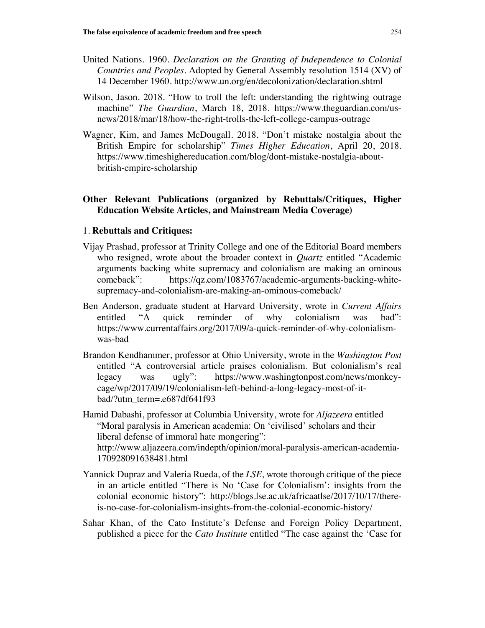- United Nations. 1960. *Declaration on the Granting of Independence to Colonial Countries and Peoples.* Adopted by General Assembly resolution 1514 (XV) of 14 December 1960. http://www.un.org/en/decolonization/declaration.shtml
- Wilson, Jason. 2018. "How to troll the left: understanding the rightwing outrage machine" *The Guardian*, March 18, 2018. https://www.theguardian.com/usnews/2018/mar/18/how-the-right-trolls-the-left-college-campus-outrage
- Wagner, Kim, and James McDougall. 2018. "Don't mistake nostalgia about the British Empire for scholarship" *Times Higher Education*, April 20, 2018. https://www.timeshighereducation.com/blog/dont-mistake-nostalgia-aboutbritish-empire-scholarship

# **Other Relevant Publications (organized by Rebuttals/Critiques, Higher Education Website Articles, and Mainstream Media Coverage)**

#### 1. **Rebuttals and Critiques:**

- Vijay Prashad, professor at Trinity College and one of the Editorial Board members who resigned, wrote about the broader context in *Quartz* entitled "Academic arguments backing white supremacy and colonialism are making an ominous comeback": https://qz.com/1083767/academic-arguments-backing-whitesupremacy-and-colonialism-are-making-an-ominous-comeback/
- Ben Anderson, graduate student at Harvard University, wrote in *Current Affairs* entitled "A quick reminder of why colonialism was bad": https://www.currentaffairs.org/2017/09/a-quick-reminder-of-why-colonialismwas-bad
- Brandon Kendhammer, professor at Ohio University, wrote in the *Washington Post* entitled "A controversial article praises colonialism. But colonialism's real legacy was ugly": https://www.washingtonpost.com/news/monkeycage/wp/2017/09/19/colonialism-left-behind-a-long-legacy-most-of-itbad/?utm\_term=.e687df641f93
- Hamid Dabashi, professor at Columbia University, wrote for *Aljazeera* entitled "Moral paralysis in American academia: On 'civilised' scholars and their liberal defense of immoral hate mongering": http://www.aljazeera.com/indepth/opinion/moral-paralysis-american-academia-170928091638481.html
- Yannick Dupraz and Valeria Rueda, of the *LSE*, wrote thorough critique of the piece in an article entitled "There is No 'Case for Colonialism': insights from the colonial economic history": http://blogs.lse.ac.uk/africaatlse/2017/10/17/thereis-no-case-for-colonialism-insights-from-the-colonial-economic-history/
- Sahar Khan, of the Cato Institute's Defense and Foreign Policy Department, published a piece for the *Cato Institute* entitled "The case against the 'Case for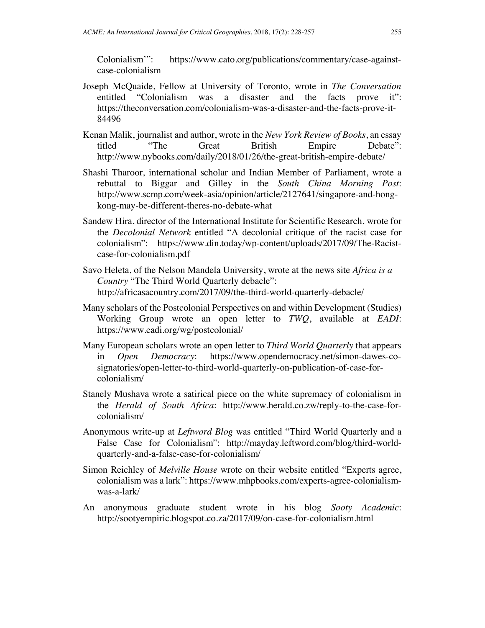Colonialism'": https://www.cato.org/publications/commentary/case-againstcase-colonialism

- Joseph McQuaide, Fellow at University of Toronto, wrote in *The Conversation* entitled "Colonialism was a disaster and the facts prove it": https://theconversation.com/colonialism-was-a-disaster-and-the-facts-prove-it-84496
- Kenan Malik, journalist and author, wrote in the *New York Review of Books*, an essay titled "The Great British Empire Debate": http://www.nybooks.com/daily/2018/01/26/the-great-british-empire-debate/
- Shashi Tharoor, international scholar and Indian Member of Parliament, wrote a rebuttal to Biggar and Gilley in the *South China Morning Post*: http://www.scmp.com/week-asia/opinion/article/2127641/singapore-and-hongkong-may-be-different-theres-no-debate-what
- Sandew Hira, director of the International Institute for Scientific Research, wrote for the *Decolonial Network* entitled "A decolonial critique of the racist case for colonialism": https://www.din.today/wp-content/uploads/2017/09/The-Racistcase-for-colonialism.pdf
- Savo Heleta, of the Nelson Mandela University, wrote at the news site *Africa is a Country* "The Third World Quarterly debacle": http://africasacountry.com/2017/09/the-third-world-quarterly-debacle/
- Many scholars of the Postcolonial Perspectives on and within Development (Studies) Working Group wrote an open letter to *TWQ*, available at *EADI*: https://www.eadi.org/wg/postcolonial/
- Many European scholars wrote an open letter to *Third World Quarterly* that appears in *Open Democracy*: https://www.opendemocracy.net/simon-dawes-cosignatories/open-letter-to-third-world-quarterly-on-publication-of-case-forcolonialism/
- Stanely Mushava wrote a satirical piece on the white supremacy of colonialism in the *Herald of South Africa*: http://www.herald.co.zw/reply-to-the-case-forcolonialism/
- Anonymous write-up at *Leftword Blog* was entitled "Third World Quarterly and a False Case for Colonialism": http://mayday.leftword.com/blog/third-worldquarterly-and-a-false-case-for-colonialism/
- Simon Reichley of *Melville House* wrote on their website entitled "Experts agree, colonialism was a lark": https://www.mhpbooks.com/experts-agree-colonialismwas-a-lark/
- An anonymous graduate student wrote in his blog *Sooty Academic*: http://sootyempiric.blogspot.co.za/2017/09/on-case-for-colonialism.html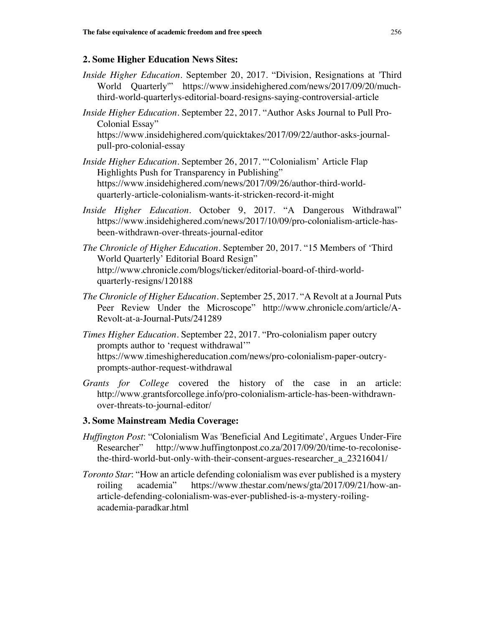# **2. Some Higher Education News Sites:**

- *Inside Higher Education*. September 20, 2017. "Division, Resignations at 'Third World Quarterly'" https://www.insidehighered.com/news/2017/09/20/muchthird-world-quarterlys-editorial-board-resigns-saying-controversial-article
- *Inside Higher Education*. September 22, 2017. "Author Asks Journal to Pull Pro-Colonial Essay" https://www.insidehighered.com/quicktakes/2017/09/22/author-asks-journalpull-pro-colonial-essay
- *Inside Higher Education*. September 26, 2017. "'Colonialism' Article Flap Highlights Push for Transparency in Publishing" https://www.insidehighered.com/news/2017/09/26/author-third-worldquarterly-article-colonialism-wants-it-stricken-record-it-might
- *Inside Higher Education*. October 9, 2017. "A Dangerous Withdrawal" https://www.insidehighered.com/news/2017/10/09/pro-colonialism-article-hasbeen-withdrawn-over-threats-journal-editor
- *The Chronicle of Higher Education*. September 20, 2017. "15 Members of 'Third World Quarterly' Editorial Board Resign" http://www.chronicle.com/blogs/ticker/editorial-board-of-third-worldquarterly-resigns/120188
- *The Chronicle of Higher Education*. September 25, 2017. "A Revolt at a Journal Puts Peer Review Under the Microscope" http://www.chronicle.com/article/A-Revolt-at-a-Journal-Puts/241289
- *Times Higher Education*. September 22, 2017. "Pro-colonialism paper outcry prompts author to 'request withdrawal'" https://www.timeshighereducation.com/news/pro-colonialism-paper-outcryprompts-author-request-withdrawal
- *Grants for College* covered the history of the case in an article: http://www.grantsforcollege.info/pro-colonialism-article-has-been-withdrawnover-threats-to-journal-editor/

# **3. Some Mainstream Media Coverage:**

- *Huffington Post*: "Colonialism Was 'Beneficial And Legitimate', Argues Under-Fire Researcher" http://www.huffingtonpost.co.za/2017/09/20/time-to-recolonisethe-third-world-but-only-with-their-consent-argues-researcher\_a\_23216041/
- *Toronto Star*: "How an article defending colonialism was ever published is a mystery roiling academia" https://www.thestar.com/news/gta/2017/09/21/how-anarticle-defending-colonialism-was-ever-published-is-a-mystery-roilingacademia-paradkar.html